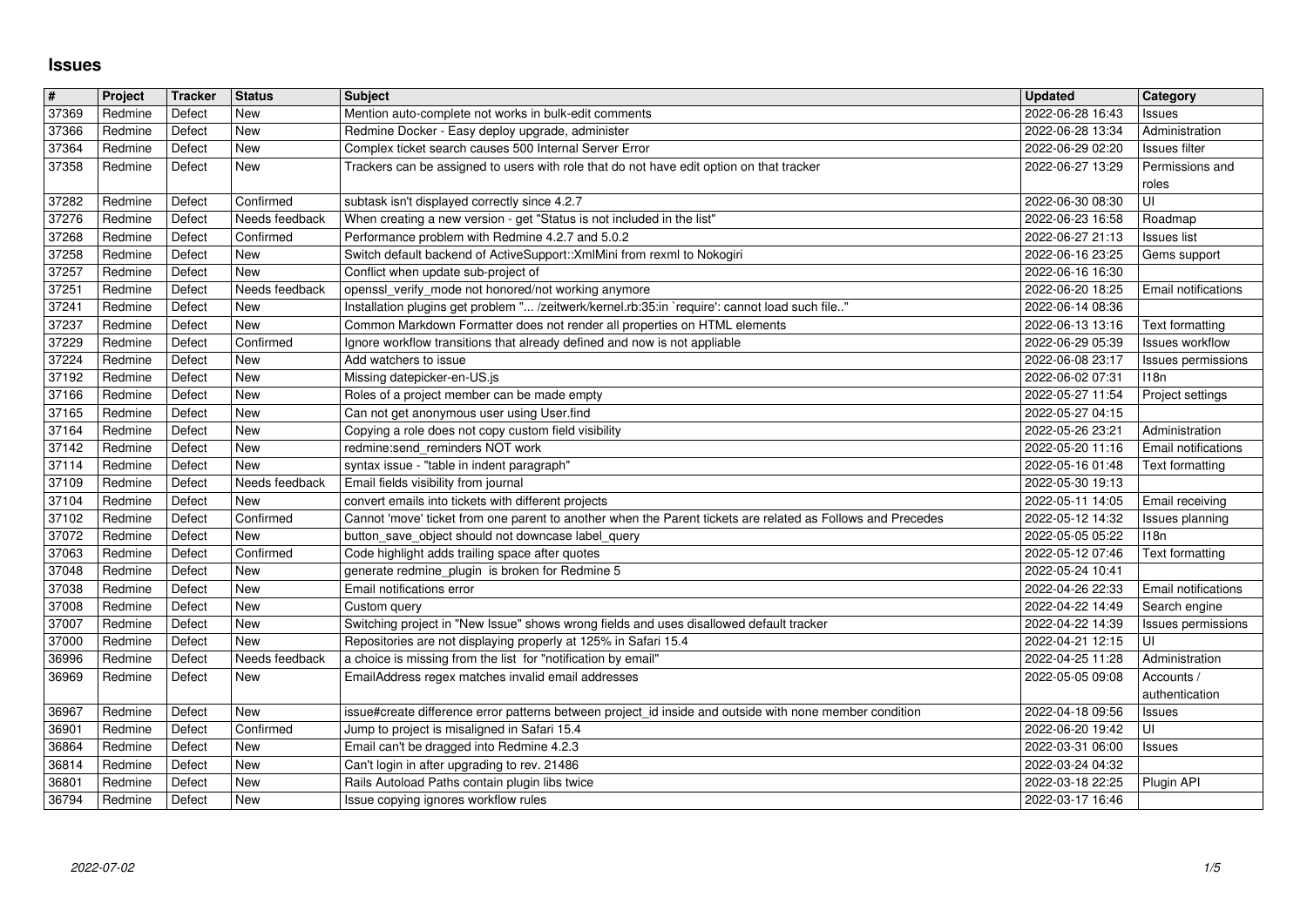## **Issues**

| $\pmb{\#}$     | Project            | Tracker          | <b>Status</b>               | <b>Subject</b>                                                                                                                                                              | Updated                              | Category                                      |
|----------------|--------------------|------------------|-----------------------------|-----------------------------------------------------------------------------------------------------------------------------------------------------------------------------|--------------------------------------|-----------------------------------------------|
| 37369          | Redmine            | Defect           | <b>New</b>                  | Mention auto-complete not works in bulk-edit comments                                                                                                                       | 2022-06-28 16:43                     | Issues                                        |
| 37366<br>37364 | Redmine<br>Redmine | Defect<br>Defect | <b>New</b><br><b>New</b>    | Redmine Docker - Easy deploy upgrade, administer<br>Complex ticket search causes 500 Internal Server Error                                                                  | 2022-06-28 13:34<br>2022-06-29 02:20 | Administration<br>Issues filter               |
| 37358          | Redmine            | Defect           | <b>New</b>                  | Trackers can be assigned to users with role that do not have edit option on that tracker                                                                                    | 2022-06-27 13:29                     | Permissions and                               |
|                |                    |                  |                             |                                                                                                                                                                             |                                      | roles                                         |
| 37282          | Redmine            | Defect           | Confirmed                   | subtask isn't displayed correctly since 4.2.7                                                                                                                               | 2022-06-30 08:30                     | UI                                            |
| 37276<br>37268 | Redmine<br>Redmine | Defect<br>Defect | Needs feedback<br>Confirmed | When creating a new version - get "Status is not included in the list"<br>Performance problem with Redmine 4.2.7 and 5.0.2                                                  | 2022-06-23 16:58<br>2022-06-27 21:13 | Roadmap<br><b>Issues</b> list                 |
| 37258          | Redmine            | Defect           | New                         | Switch default backend of ActiveSupport:: XmlMini from rexml to Nokogiri                                                                                                    | 2022-06-16 23:25                     | Gems support                                  |
| 37257          | Redmine            | Defect           | New                         | Conflict when update sub-project of                                                                                                                                         | 2022-06-16 16:30                     |                                               |
| 37251          | Redmine            | Defect           | Needs feedback              | openssl_verify_mode not honored/not working anymore                                                                                                                         | 2022-06-20 18:25                     | Email notifications                           |
| 37241<br>37237 | Redmine<br>Redmine | Defect<br>Defect | New<br><b>New</b>           | Installation plugins get problem " /zeitwerk/kernel.rb:35:in `require': cannot load such file"<br>Common Markdown Formatter does not render all properties on HTML elements | 2022-06-14 08:36<br>2022-06-13 13:16 | Text formatting                               |
| 37229          | Redmine            | Defect           | Confirmed                   | Ignore workflow transitions that already defined and now is not appliable                                                                                                   | 2022-06-29 05:39                     | <b>Issues workflow</b>                        |
| 37224          | Redmine            | Defect           | <b>New</b>                  | Add watchers to issue                                                                                                                                                       | 2022-06-08 23:17                     | Issues permissions                            |
| 37192<br>37166 | Redmine<br>Redmine | Defect<br>Defect | New<br>New                  | Missing datepicker-en-US.js<br>Roles of a project member can be made empty                                                                                                  | 2022-06-02 07:31<br>2022-05-27 11:54 | 118n<br>Project settings                      |
| 37165          | Redmine            | Defect           | New                         | Can not get anonymous user using User.find                                                                                                                                  | 2022-05-27 04:15                     |                                               |
| 37164          | Redmine            | Defect           | <b>New</b>                  | Copying a role does not copy custom field visibility                                                                                                                        | 2022-05-26 23:21                     | Administration                                |
| 37142<br>37114 | Redmine<br>Redmine | Defect<br>Defect | <b>New</b><br><b>New</b>    | redmine:send_reminders NOT work<br>syntax issue - "table in indent paragraph"                                                                                               | 2022-05-20 11:16<br>2022-05-16 01:48 | Email notifications<br><b>Text formatting</b> |
| 37109          | Redmine            | Defect           | Needs feedback              | Email fields visibility from journal                                                                                                                                        | 2022-05-30 19:13                     |                                               |
| 37104          | Redmine            | Defect           | <b>New</b>                  | convert emails into tickets with different projects                                                                                                                         | 2022-05-11 14:05                     | Email receiving                               |
| 37102<br>37072 | Redmine<br>Redmine | Defect<br>Defect | Confirmed<br><b>New</b>     | Cannot 'move' ticket from one parent to another when the Parent tickets are related as Follows and Precedes<br>button_save_object should not downcase label_query           | 2022-05-12 14:32<br>2022-05-05 05:22 | Issues planning<br>118n                       |
| 37063          | Redmine            | Defect           | Confirmed                   | Code highlight adds trailing space after quotes                                                                                                                             | 2022-05-12 07:46                     | Text formatting                               |
| 37048          | Redmine            | Defect           | <b>New</b>                  | generate redmine_plugin is broken for Redmine 5                                                                                                                             | 2022-05-24 10:41                     |                                               |
| 37038          | Redmine            | Defect           | New                         | Email notifications error                                                                                                                                                   | 2022-04-26 22:33                     | Email notifications                           |
| 37008<br>37007 | Redmine<br>Redmine | Defect<br>Defect | <b>New</b><br><b>New</b>    | Custom query<br>Switching project in "New Issue" shows wrong fields and uses disallowed default tracker                                                                     | 2022-04-22 14:49<br>2022-04-22 14:39 | Search engine<br>Issues permissions           |
| 37000          | Redmine            | Defect           | <b>New</b>                  | Repositories are not displaying properly at 125% in Safari 15.4                                                                                                             | 2022-04-21 12:15                     | UI                                            |
| 36996          | Redmine            | Defect           | Needs feedback              | a choice is missing from the list for "notification by email"                                                                                                               | 2022-04-25 11:28                     | Administration                                |
| 36969          | Redmine            | Defect           | <b>New</b>                  | EmailAddress regex matches invalid email addresses                                                                                                                          | 2022-05-05 09:08                     | Accounts /<br>authentication                  |
| 36967          | Redmine            | Defect           | New                         | issue#create difference error patterns between project_id inside and outside with none member condition                                                                     | 2022-04-18 09:56                     | Issues                                        |
| 36901          | Redmine            | Defect           | Confirmed                   | Jump to project is misaligned in Safari 15.4                                                                                                                                | 2022-06-20 19:42                     | UI                                            |
| 36864<br>36814 | Redmine<br>Redmine | Defect<br>Defect | New<br><b>New</b>           | Email can't be dragged into Redmine 4.2.3<br>Can't login in after upgrading to rev. 21486                                                                                   | 2022-03-31 06:00<br>2022-03-24 04:32 | Issues                                        |
| 36801          | Redmine            | Defect           | New                         | Rails Autoload Paths contain plugin libs twice                                                                                                                              | 2022-03-18 22:25 Plugin API          |                                               |
| 36794          | Redmine            | Defect           | New                         | Issue copying ignores workflow rules                                                                                                                                        | 2022-03-17 16:46                     |                                               |
|                | 2022-07-02         |                  |                             |                                                                                                                                                                             |                                      |                                               |
|                |                    |                  |                             |                                                                                                                                                                             |                                      |                                               |
|                |                    |                  |                             |                                                                                                                                                                             |                                      |                                               |
|                |                    |                  |                             |                                                                                                                                                                             |                                      |                                               |
|                |                    |                  |                             |                                                                                                                                                                             |                                      |                                               |
|                |                    |                  |                             |                                                                                                                                                                             |                                      |                                               |
|                |                    |                  |                             |                                                                                                                                                                             |                                      |                                               |
|                |                    |                  |                             |                                                                                                                                                                             |                                      |                                               |
|                |                    |                  |                             |                                                                                                                                                                             |                                      |                                               |
|                |                    |                  |                             |                                                                                                                                                                             |                                      |                                               |
|                |                    |                  |                             |                                                                                                                                                                             |                                      |                                               |
|                |                    |                  |                             |                                                                                                                                                                             |                                      |                                               |
|                |                    |                  |                             |                                                                                                                                                                             |                                      |                                               |
|                |                    |                  |                             |                                                                                                                                                                             |                                      |                                               |
|                |                    |                  |                             |                                                                                                                                                                             |                                      |                                               |
|                |                    |                  |                             |                                                                                                                                                                             |                                      |                                               |
|                |                    |                  |                             |                                                                                                                                                                             |                                      |                                               |
|                |                    |                  |                             |                                                                                                                                                                             |                                      |                                               |
|                |                    |                  |                             |                                                                                                                                                                             |                                      |                                               |
|                |                    |                  |                             |                                                                                                                                                                             |                                      |                                               |
|                |                    |                  |                             |                                                                                                                                                                             |                                      |                                               |
|                |                    |                  |                             |                                                                                                                                                                             |                                      |                                               |
|                |                    |                  |                             |                                                                                                                                                                             |                                      |                                               |
|                |                    |                  |                             |                                                                                                                                                                             |                                      |                                               |
|                |                    |                  |                             |                                                                                                                                                                             |                                      |                                               |
|                |                    |                  |                             |                                                                                                                                                                             |                                      |                                               |
|                |                    |                  |                             |                                                                                                                                                                             |                                      |                                               |
|                |                    |                  |                             |                                                                                                                                                                             |                                      |                                               |
|                |                    |                  |                             |                                                                                                                                                                             |                                      |                                               |
|                |                    |                  |                             |                                                                                                                                                                             |                                      |                                               |
|                |                    |                  |                             |                                                                                                                                                                             |                                      |                                               |
|                |                    |                  |                             |                                                                                                                                                                             |                                      |                                               |
|                |                    |                  |                             |                                                                                                                                                                             |                                      |                                               |
|                |                    |                  |                             |                                                                                                                                                                             |                                      |                                               |
|                |                    |                  |                             |                                                                                                                                                                             |                                      |                                               |
|                |                    |                  |                             |                                                                                                                                                                             |                                      |                                               |
|                |                    |                  |                             |                                                                                                                                                                             |                                      |                                               |
|                |                    |                  |                             |                                                                                                                                                                             |                                      |                                               |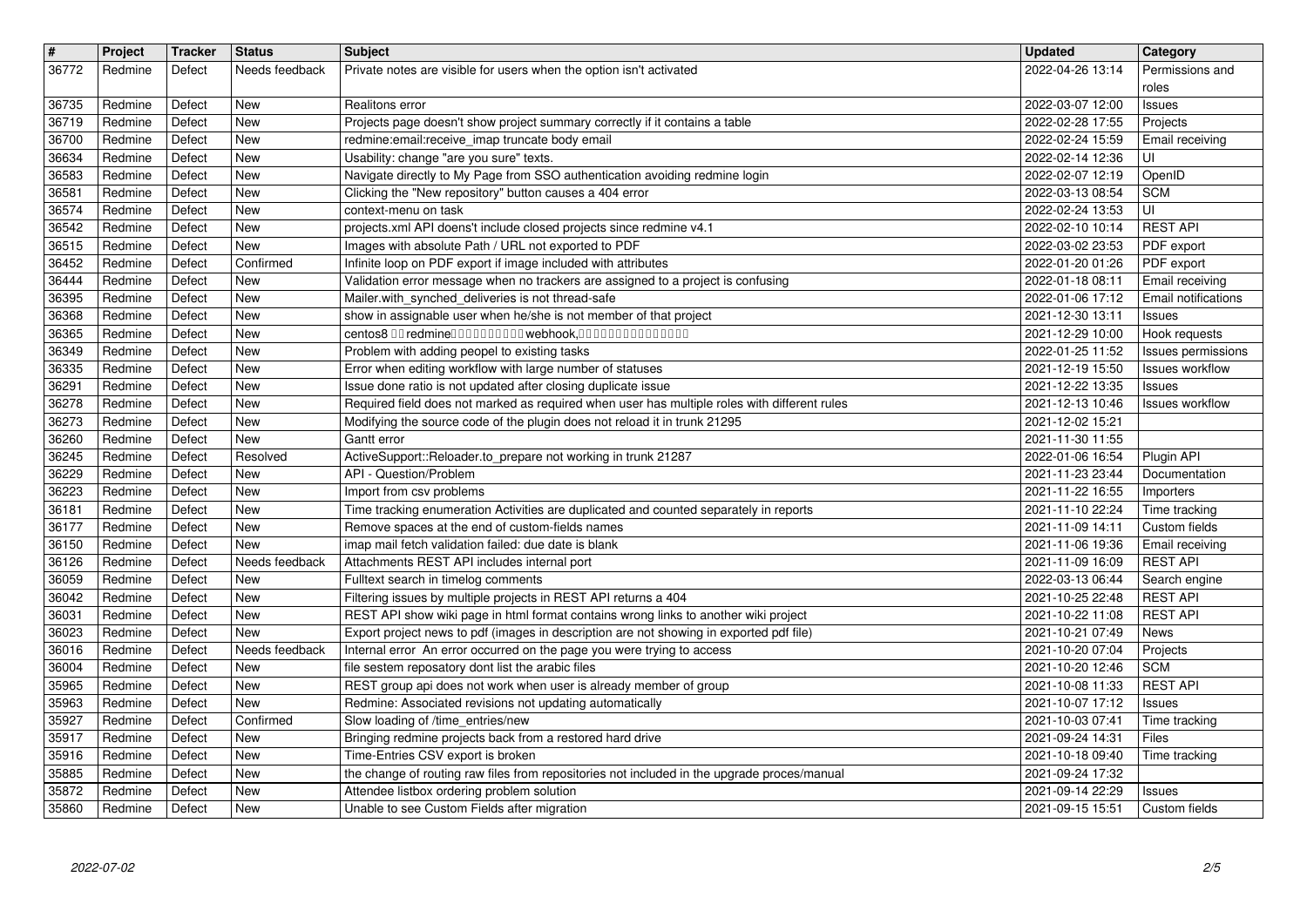| $\overline{\mathbf{r}}$<br>36772 | Project<br>Redmine | Tracker<br>Defect | Status<br>Needs feedback | <b>Subject</b>                                                                                                                                                                 | <b>Updated</b><br>2022-04-26 13:14   | Category<br>Permissions and           |
|----------------------------------|--------------------|-------------------|--------------------------|--------------------------------------------------------------------------------------------------------------------------------------------------------------------------------|--------------------------------------|---------------------------------------|
|                                  |                    |                   |                          | Private notes are visible for users when the option isn't activated                                                                                                            |                                      | roles                                 |
| 36735<br>36719                   | Redmine<br>Redmine | Defect<br>Defect  | New<br>New               | Realitons error<br>Projects page doesn't show project summary correctly if it contains a table                                                                                 | 2022-03-07 12:00<br>2022-02-28 17:55 | Issues<br>Projects                    |
| 36700                            | Redmine            | Defect            | New                      | redmine:email:receive_imap truncate body email                                                                                                                                 | 2022-02-24 15:59                     | Email receiving                       |
| 36634<br>36583                   | Redmine<br>Redmine | Defect<br>Defect  | New<br>New               | Usability: change "are you sure" texts.<br>Navigate directly to My Page from SSO authentication avoiding redmine login                                                         | 2022-02-14 12:36<br>2022-02-07 12:19 | UI<br>OpenID                          |
| 36581                            | Redmine            | Defect            | New                      | Clicking the "New repository" button causes a 404 error                                                                                                                        | 2022-03-13 08:54                     | <b>SCM</b>                            |
| 36574<br>36542                   | Redmine<br>Redmine | Defect<br>Defect  | New<br>New               | context-menu on task<br>projects.xml API doens't include closed projects since redmine v4.1                                                                                    | 2022-02-24 13:53<br>2022-02-10 10:14 | UI<br><b>REST API</b>                 |
| 36515<br>36452                   | Redmine<br>Redmine | Defect<br>Defect  | New<br>Confirmed         | Images with absolute Path / URL not exported to PDF<br>Infinite loop on PDF export if image included with attributes                                                           | 2022-03-02 23:53<br>2022-01-20 01:26 | PDF export<br>PDF export              |
| 36444                            | Redmine            | Defect            | New                      | Validation error message when no trackers are assigned to a project is confusing                                                                                               | 2022-01-18 08:11                     | Email receiving                       |
| 36395<br>36368                   | Redmine<br>Redmine | Defect<br>Defect  | New<br>New               | Mailer.with_synched_deliveries is not thread-safe<br>show in assignable user when he/she is not member of that project                                                         | 2022-01-06 17:12<br>2021-12-30 13:11 | Email notifications<br><b>Issues</b>  |
| 36365                            | Redmine            | Defect            | New                      | centos8 00 redmine0000000000 webhook,000000000000000                                                                                                                           | 2021-12-29 10:00                     | Hook requests                         |
| 36349<br>36335                   | Redmine<br>Redmine | Defect<br>Defect  | New<br>New               | Problem with adding peopel to existing tasks<br>Error when editing workflow with large number of statuses                                                                      | 2022-01-25 11:52<br>2021-12-19 15:50 | Issues permissions<br>Issues workflow |
| 36291<br>36278                   | Redmine<br>Redmine | Defect<br>Defect  | New<br>New               | Issue done ratio is not updated after closing duplicate issue<br>Required field does not marked as required when user has multiple roles with different rules                  | 2021-12-22 13:35<br>2021-12-13 10:46 | Issues<br><b>Issues workflow</b>      |
| 36273                            | Redmine            | Defect            | New                      | Modifying the source code of the plugin does not reload it in trunk 21295                                                                                                      | 2021-12-02 15:21                     |                                       |
| 36260<br>36245                   | Redmine<br>Redmine | Defect<br>Defect  | New<br>Resolved          | Gantt error<br>ActiveSupport::Reloader.to_prepare not working in trunk 21287                                                                                                   | 2021-11-30 11:55<br>2022-01-06 16:54 | Plugin API                            |
| 36229<br>36223                   | Redmine<br>Redmine | Defect<br>Defect  | New<br>New               | API - Question/Problem<br>Import from csv problems                                                                                                                             | 2021-11-23 23:44<br>2021-11-22 16:55 | Documentation<br>Importers            |
| 36181                            | Redmine            | Defect            | New                      | Time tracking enumeration Activities are duplicated and counted separately in reports                                                                                          | 2021-11-10 22:24                     | Time tracking                         |
| 36177<br>36150                   | Redmine<br>Redmine | Defect<br>Defect  | New<br>New               | Remove spaces at the end of custom-fields names<br>imap mail fetch validation failed: due date is blank                                                                        | 2021-11-09 14:11<br>2021-11-06 19:36 | Custom fields<br>Email receiving      |
| 36126                            | Redmine            | Defect            | Needs feedback           | Attachments REST API includes internal port                                                                                                                                    | 2021-11-09 16:09                     | <b>REST API</b>                       |
| 36059<br>36042                   | Redmine<br>Redmine | Defect<br>Defect  | New<br>New               | Fulltext search in timelog comments<br>Filtering issues by multiple projects in REST API returns a 404                                                                         | 2022-03-13 06:44<br>2021-10-25 22:48 | Search engine<br><b>REST API</b>      |
| 36031<br>36023                   | Redmine<br>Redmine | Defect<br>Defect  | New<br>New               | REST API show wiki page in html format contains wrong links to another wiki project<br>Export project news to pdf (images in description are not showing in exported pdf file) | 2021-10-22 11:08<br>2021-10-21 07:49 | <b>REST API</b><br>News               |
| 36016                            | Redmine            | Defect            | Needs feedback           | Internal error An error occurred on the page you were trying to access                                                                                                         | 2021-10-20 07:04                     | Projects                              |
| 36004<br>35965                   | Redmine<br>Redmine | Defect<br>Defect  | New<br>New               | file sestem reposatory dont list the arabic files<br>REST group api does not work when user is already member of group                                                         | 2021-10-20 12:46<br>2021-10-08 11:33 | <b>SCM</b><br><b>REST API</b>         |
| 35963<br>35927                   | Redmine<br>Redmine | Defect<br>Defect  | New<br>Confirmed         | Redmine: Associated revisions not updating automatically<br>Slow loading of /time_entries/new                                                                                  | 2021-10-07 17:12<br>2021-10-03 07:41 | Issues<br>Time tracking               |
| 35917                            | Redmine            | Defect            | New                      | Bringing redmine projects back from a restored hard drive                                                                                                                      | 2021-09-24 14:31                     | Files                                 |
| 35916<br>35885                   | Redmine<br>Redmine | Defect<br>Defect  | New<br>New               | Time-Entries CSV export is broken<br>the change of routing raw files from repositories not included in the upgrade proces/manual                                               | 2021-10-18 09:40<br>2021-09-24 17:32 | Time tracking                         |
| 35872<br>35860                   | Redmine<br>Redmine | Defect<br>Defect  | New<br>New               | Attendee listbox ordering problem solution<br>Unable to see Custom Fields after migration                                                                                      | 2021-09-14 22:29<br>2021-09-15 15:51 | Issues<br>Custom fields               |
|                                  |                    |                   |                          |                                                                                                                                                                                |                                      |                                       |
|                                  |                    |                   |                          |                                                                                                                                                                                |                                      |                                       |
|                                  |                    |                   |                          |                                                                                                                                                                                |                                      |                                       |
|                                  |                    |                   |                          |                                                                                                                                                                                |                                      |                                       |
|                                  |                    |                   |                          |                                                                                                                                                                                |                                      |                                       |
|                                  |                    |                   |                          |                                                                                                                                                                                |                                      |                                       |
|                                  |                    |                   |                          |                                                                                                                                                                                |                                      |                                       |
|                                  |                    |                   |                          |                                                                                                                                                                                |                                      |                                       |
|                                  |                    |                   |                          |                                                                                                                                                                                |                                      |                                       |
|                                  |                    |                   |                          |                                                                                                                                                                                |                                      |                                       |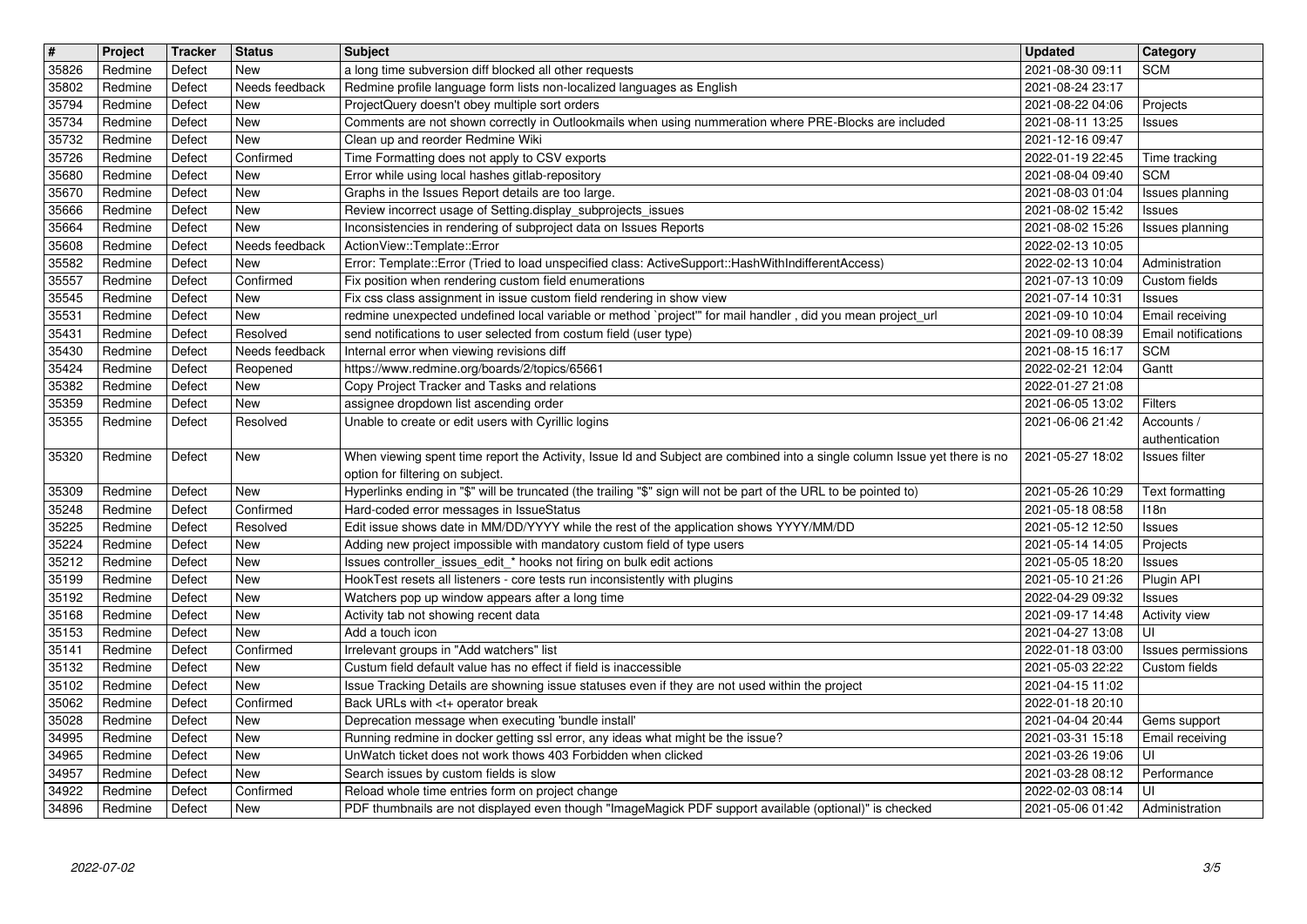| $\overline{\mathbf{t}}$ | Project            | Tracker          | <b>Status</b>         | <b>Subject</b>                                                                                                                                                                  | <b>Updated</b>                       | <b>Category</b>                               |
|-------------------------|--------------------|------------------|-----------------------|---------------------------------------------------------------------------------------------------------------------------------------------------------------------------------|--------------------------------------|-----------------------------------------------|
| 35826<br>35802          | Redmine<br>Redmine | Defect<br>Defect | New<br>Needs feedback | a long time subversion diff blocked all other requests<br>Redmine profile language form lists non-localized languages as English                                                | 2021-08-30 09:11<br>2021-08-24 23:17 | <b>SCM</b>                                    |
| 35794                   | Redmine            | Defect           | New                   | ProjectQuery doesn't obey multiple sort orders                                                                                                                                  | 2021-08-22 04:06                     | Projects                                      |
| 35734                   | Redmine            | Defect           | New                   | Comments are not shown correctly in Outlookmails when using nummeration where PRE-Blocks are included                                                                           | 2021-08-11 13:25                     | Issues                                        |
| 35732<br>35726          | Redmine<br>Redmine | Defect<br>Defect | New<br>Confirmed      | Clean up and reorder Redmine Wiki<br>Time Formatting does not apply to CSV exports                                                                                              | 2021-12-16 09:47<br>2022-01-19 22:45 | Time tracking                                 |
| 35680                   | Redmine            | Defect           | New                   | Error while using local hashes gitlab-repository                                                                                                                                | 2021-08-04 09:40                     | <b>SCM</b>                                    |
| 35670<br>35666          | Redmine<br>Redmine | Defect<br>Defect | New<br>New            | Graphs in the Issues Report details are too large.<br>Review incorrect usage of Setting.display_subprojects_issues                                                              | 2021-08-03 01:04<br>2021-08-02 15:42 | Issues planning<br>Issues                     |
| 35664                   | Redmine            | Defect           | New                   | Inconsistencies in rendering of subproject data on Issues Reports                                                                                                               | 2021-08-02 15:26                     | Issues planning                               |
| 35608                   | Redmine            | Defect           | Needs feedback        | ActionView::Template::Error                                                                                                                                                     | 2022-02-13 10:05                     |                                               |
| 35582<br>35557          | Redmine<br>Redmine | Defect<br>Defect | New<br>Confirmed      | Error: Template::Error (Tried to load unspecified class: ActiveSupport::HashWithIndifferentAccess)<br>Fix position when rendering custom field enumerations                     | 2022-02-13 10:04<br>2021-07-13 10:09 | Administration<br>Custom fields               |
| 35545                   | Redmine            | Defect           | New                   | Fix css class assignment in issue custom field rendering in show view                                                                                                           | 2021-07-14 10:31                     | <b>Issues</b>                                 |
| 35531<br>35431          | Redmine<br>Redmine | Defect<br>Defect | New<br>Resolved       | redmine unexpected undefined local variable or method `project" for mail handler, did you mean project_url<br>send notifications to user selected from costum field (user type) | 2021-09-10 10:04<br>2021-09-10 08:39 | Email receiving<br><b>Email notifications</b> |
| 35430                   | Redmine            | Defect           | Needs feedback        | Internal error when viewing revisions diff                                                                                                                                      | 2021-08-15 16:17                     | <b>SCM</b>                                    |
| 35424                   | Redmine            | Defect           | Reopened              | https://www.redmine.org/boards/2/topics/65661                                                                                                                                   | 2022-02-21 12:04                     | Gantt                                         |
| 35382<br>35359          | Redmine<br>Redmine | Defect<br>Defect | New<br>New            | Copy Project Tracker and Tasks and relations<br>assignee dropdown list ascending order                                                                                          | 2022-01-27 21:08<br>2021-06-05 13:02 | Filters                                       |
| 35355                   | Redmine            | Defect           | Resolved              | Unable to create or edit users with Cyrillic logins                                                                                                                             | 2021-06-06 21:42                     | Accounts /                                    |
| 35320                   | Redmine            | Defect           | New                   | When viewing spent time report the Activity, Issue Id and Subject are combined into a single column Issue yet there is no                                                       | 2021-05-27 18:02                     | authentication<br>Issues filter               |
|                         |                    |                  |                       | option for filtering on subject.                                                                                                                                                |                                      |                                               |
| 35309                   | Redmine            | Defect           | New                   | Hyperlinks ending in "\$" will be truncated (the trailing "\$" sign will not be part of the URL to be pointed to)                                                               | 2021-05-26 10:29                     | Text formatting                               |
| 35248<br>35225          | Redmine<br>Redmine | Defect<br>Defect | Confirmed<br>Resolved | Hard-coded error messages in IssueStatus<br>Edit issue shows date in MM/DD/YYYY while the rest of the application shows YYYY/MM/DD                                              | 2021-05-18 08:58<br>2021-05-12 12:50 | 118n<br>Issues                                |
| 35224                   | Redmine            | Defect           | New                   | Adding new project impossible with mandatory custom field of type users                                                                                                         | 2021-05-14 14:05                     | Projects                                      |
| 35212                   | Redmine            | Defect<br>Defect | New<br>New            | Issues controller_issues_edit_* hooks not firing on bulk edit actions                                                                                                           | 2021-05-05 18:20                     | Issues                                        |
| 35199<br>35192          | Redmine<br>Redmine | Defect           | New                   | HookTest resets all listeners - core tests run inconsistently with plugins<br>Watchers pop up window appears after a long time                                                  | 2021-05-10 21:26<br>2022-04-29 09:32 | Plugin API<br>Issues                          |
| 35168                   | Redmine            | Defect           | New                   | Activity tab not showing recent data                                                                                                                                            | 2021-09-17 14:48                     | <b>Activity view</b>                          |
| 35153<br>35141          | Redmine<br>Redmine | Defect<br>Defect | New<br>Confirmed      | Add a touch icon<br>Irrelevant groups in "Add watchers" list                                                                                                                    | 2021-04-27 13:08<br>2022-01-18 03:00 | UI<br>Issues permissions                      |
| 35132                   | Redmine            | Defect           | New                   | Custum field default value has no effect if field is inaccessible                                                                                                               | 2021-05-03 22:22                     | Custom fields                                 |
| 35102                   | Redmine            | Defect           | New                   | Issue Tracking Details are showning issue statuses even if they are not used within the project                                                                                 | 2021-04-15 11:02                     |                                               |
| 35062<br>35028          | Redmine<br>Redmine | Defect<br>Defect | Confirmed<br>New      | Back URLs with <t+ break<br="" operator="">Deprecation message when executing 'bundle install'</t+>                                                                             | 2022-01-18 20:10<br>2021-04-04 20:44 | Gems support                                  |
| 34995                   | Redmine            | Defect           | New                   | Running redmine in docker getting ssl error, any ideas what might be the issue?                                                                                                 | 2021-03-31 15:18                     | Email receiving                               |
| 34965<br>34957          | Redmine<br>Redmine | Defect<br>Defect | New<br>New            | UnWatch ticket does not work thows 403 Forbidden when clicked<br>Search issues by custom fields is slow                                                                         | 2021-03-26 19:06<br>2021-03-28 08:12 | UI<br>Performance                             |
| 34922                   | Redmine            | Defect           | Confirmed             | Reload whole time entries form on project change                                                                                                                                | 2022-02-03 08:14                     | UI                                            |
| 34896                   | Redmine            | Defect           | New                   | PDF thumbnails are not displayed even though "ImageMagick PDF support available (optional)" is checked                                                                          | 2021-05-06 01:42                     | Administration                                |
|                         |                    |                  |                       |                                                                                                                                                                                 |                                      |                                               |
|                         |                    |                  |                       |                                                                                                                                                                                 |                                      |                                               |
|                         |                    |                  |                       |                                                                                                                                                                                 |                                      |                                               |
|                         |                    |                  |                       |                                                                                                                                                                                 |                                      |                                               |
|                         |                    |                  |                       |                                                                                                                                                                                 |                                      |                                               |
|                         |                    |                  |                       |                                                                                                                                                                                 |                                      |                                               |
|                         |                    |                  |                       |                                                                                                                                                                                 |                                      |                                               |
|                         |                    |                  |                       |                                                                                                                                                                                 |                                      |                                               |
|                         |                    |                  |                       |                                                                                                                                                                                 |                                      |                                               |
|                         |                    |                  |                       |                                                                                                                                                                                 |                                      |                                               |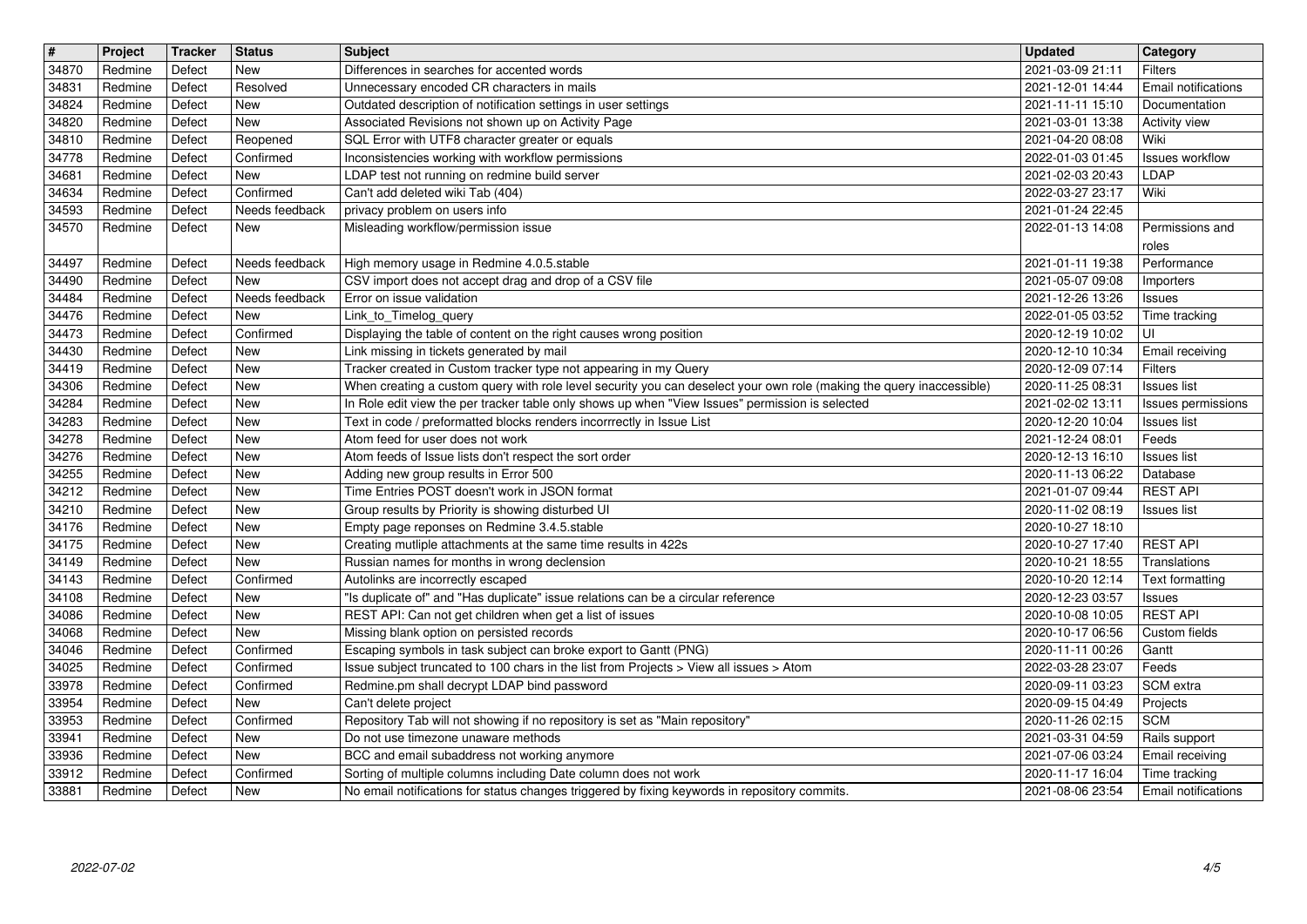| $\overline{\boldsymbol{H}}$<br>34870 | Project<br>Redmine | Tracker<br>Defect | <b>Status</b><br>New     | <b>Subject</b><br>Differences in searches for accented words                                                                                                                                                            | <b>Updated</b><br>2021-03-09 21:11   | Category<br><b>Filters</b>            |
|--------------------------------------|--------------------|-------------------|--------------------------|-------------------------------------------------------------------------------------------------------------------------------------------------------------------------------------------------------------------------|--------------------------------------|---------------------------------------|
| 34831                                | Redmine            | Defect            | Resolved                 | Unnecessary encoded CR characters in mails                                                                                                                                                                              | 2021-12-01 14:44                     | Email notifications                   |
| 34824<br>34820                       | Redmine<br>Redmine | Defect<br>Defect  | <b>New</b><br><b>New</b> | Outdated description of notification settings in user settings<br>Associated Revisions not shown up on Activity Page                                                                                                    | 2021-11-11 15:10<br>2021-03-01 13:38 | Documentation<br><b>Activity view</b> |
| 34810                                | Redmine            | Defect            | Reopened                 | SQL Error with UTF8 character greater or equals                                                                                                                                                                         | 2021-04-20 08:08                     | Wiki                                  |
| 34778<br>34681                       | Redmine<br>Redmine | Defect<br>Defect  | Confirmed<br><b>New</b>  | Inconsistencies working with workflow permissions<br>LDAP test not running on redmine build server                                                                                                                      | 2022-01-03 01:45<br>2021-02-03 20:43 | <b>Issues workflow</b><br>LDAP        |
| 34634                                | Redmine            | Defect            | Confirmed                | Can't add deleted wiki Tab (404)                                                                                                                                                                                        | 2022-03-27 23:17                     | Wiki                                  |
| 34593<br>34570                       | Redmine<br>Redmine | Defect<br>Defect  | Needs feedback<br>New    | privacy problem on users info<br>Misleading workflow/permission issue                                                                                                                                                   | 2021-01-24 22:45<br>2022-01-13 14:08 | Permissions and                       |
| 34497                                | Redmine            | Defect            | Needs feedback           | High memory usage in Redmine 4.0.5.stable                                                                                                                                                                               | 2021-01-11 19:38                     | roles<br>Performance                  |
| 34490                                | Redmine            | Defect            | New                      | CSV import does not accept drag and drop of a CSV file                                                                                                                                                                  | 2021-05-07 09:08                     | Importers                             |
| 34484<br>34476                       | Redmine<br>Redmine | Defect<br>Defect  | Needs feedback<br>New    | Error on issue validation<br>Link_to_Timelog_query                                                                                                                                                                      | 2021-12-26 13:26<br>2022-01-05 03:52 | <b>Issues</b><br>Time tracking        |
| 34473                                | Redmine            | Defect            | Confirmed                | Displaying the table of content on the right causes wrong position                                                                                                                                                      | 2020-12-19 10:02                     | UI                                    |
| 34430<br>34419                       | Redmine<br>Redmine | Defect<br>Defect  | New<br><b>New</b>        | Link missing in tickets generated by mail<br>Tracker created in Custom tracker type not appearing in my Query                                                                                                           | 2020-12-10 10:34<br>2020-12-09 07:14 | Email receiving<br><b>Filters</b>     |
| 34306<br>34284                       | Redmine<br>Redmine | Defect<br>Defect  | New<br><b>New</b>        | When creating a custom query with role level security you can deselect your own role (making the query inaccessible)<br>In Role edit view the per tracker table only shows up when "View Issues" permission is selected | 2020-11-25 08:31<br>2021-02-02 13:11 | Issues list<br>Issues permissions     |
| 34283                                | Redmine            | Defect            | New                      | Text in code / preformatted blocks renders incorrrectly in Issue List                                                                                                                                                   | 2020-12-20 10:04                     | <b>Issues list</b>                    |
| 34278<br>34276                       | Redmine<br>Redmine | Defect<br>Defect  | <b>New</b><br><b>New</b> | Atom feed for user does not work<br>Atom feeds of Issue lists don't respect the sort order                                                                                                                              | 2021-12-24 08:01<br>2020-12-13 16:10 | Feeds<br><b>Issues list</b>           |
| 34255<br>34212                       | Redmine<br>Redmine | Defect<br>Defect  | <b>New</b><br>New        | Adding new group results in Error 500<br>Time Entries POST doesn't work in JSON format                                                                                                                                  | 2020-11-13 06:22<br>2021-01-07 09:44 | Database<br><b>REST API</b>           |
| 34210                                | Redmine            | Defect            | New                      | Group results by Priority is showing disturbed UI                                                                                                                                                                       | 2020-11-02 08:19                     | <b>Issues list</b>                    |
| 34176<br>34175                       | Redmine<br>Redmine | Defect<br>Defect  | New<br>New               | Empty page reponses on Redmine 3.4.5.stable<br>Creating mutliple attachments at the same time results in 422s                                                                                                           | 2020-10-27 18:10<br>2020-10-27 17:40 | <b>REST API</b>                       |
| 34149                                | Redmine            | Defect            | <b>New</b>               | Russian names for months in wrong declension                                                                                                                                                                            | 2020-10-21 18:55                     | Translations                          |
| 34143<br>34108                       | Redmine<br>Redmine | Defect<br>Defect  | Confirmed<br>New         | Autolinks are incorrectly escaped<br>"Is duplicate of" and "Has duplicate" issue relations can be a circular reference                                                                                                  | 2020-10-20 12:14<br>2020-12-23 03:57 | Text formatting<br>Issues             |
| 34086                                | Redmine            | Defect            | <b>New</b>               | REST API: Can not get children when get a list of issues                                                                                                                                                                | 2020-10-08 10:05                     | <b>REST API</b>                       |
| 34068<br>34046                       | Redmine<br>Redmine | Defect<br>Defect  | New<br>Confirmed         | Missing blank option on persisted records<br>Escaping symbols in task subject can broke export to Gantt (PNG)                                                                                                           | 2020-10-17 06:56<br>2020-11-11 00:26 | Custom fields<br>Gantt                |
| 34025                                | Redmine            | Defect            | Confirmed                | Issue subject truncated to 100 chars in the list from Projects > View all issues > Atom                                                                                                                                 | 2022-03-28 23:07                     | Feeds                                 |
| 33978<br>33954                       | Redmine<br>Redmine | Defect<br>Defect  | Confirmed<br><b>New</b>  | Redmine.pm shall decrypt LDAP bind password<br>Can't delete project                                                                                                                                                     | 2020-09-11 03:23<br>2020-09-15 04:49 | SCM extra<br>Projects                 |
| 33953<br>33941                       | Redmine<br>Redmine | Defect<br>Defect  | Confirmed<br>New         | Repository Tab will not showing if no repository is set as "Main repository"<br>Do not use timezone unaware methods                                                                                                     | 2020-11-26 02:15                     | <b>SCM</b>                            |
| 33936                                | Redmine            | Defect            | <b>New</b>               | BCC and email subaddress not working anymore                                                                                                                                                                            | 2021-03-31 04:59<br>2021-07-06 03:24 | Rails support<br>Email receiving      |
| 33912<br>33881                       | Redmine<br>Redmine | Defect<br>Defect  | Confirmed<br>New         | Sorting of multiple columns including Date column does not work<br>No email notifications for status changes triggered by fixing keywords in repository commits.                                                        | 2020-11-17 16:04<br>2021-08-06 23:54 | Time tracking<br>Email notifications  |
|                                      |                    |                   |                          |                                                                                                                                                                                                                         |                                      |                                       |
|                                      |                    |                   |                          |                                                                                                                                                                                                                         |                                      |                                       |
|                                      |                    |                   |                          |                                                                                                                                                                                                                         |                                      |                                       |
|                                      |                    |                   |                          |                                                                                                                                                                                                                         |                                      |                                       |
|                                      |                    |                   |                          |                                                                                                                                                                                                                         |                                      |                                       |